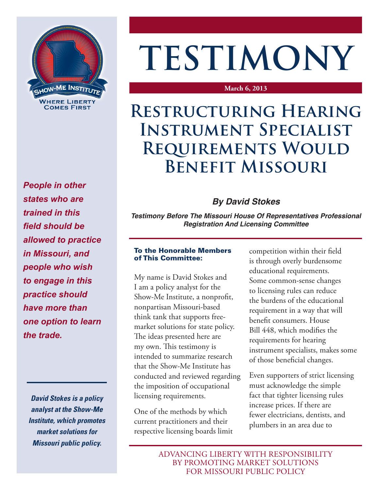

*People in other states who are trained in this field should be allowed to practice in Missouri, and people who wish to engage in this practice should have more than one option to learn the trade.*

*David Stokes is a policy analyst at the Show-Me Institute, which promotes market solutions for Missouri public policy.*

# **TESTIMONY**

#### **March 6, 2013**

## **Restructuring Hearing Instrument Specialist Requirements Would Benefit Missouri**

## *By David Stokes*

*Testimony Before The Missouri House Of Representatives Professional Registration And Licensing Committee*

### To the Honorable Members of This Committee:

My name is David Stokes and I am a policy analyst for the Show-Me Institute, a nonprofit, nonpartisan Missouri-based think tank that supports freemarket solutions for state policy. The ideas presented here are my own. This testimony is intended to summarize research that the Show-Me Institute has conducted and reviewed regarding the imposition of occupational licensing requirements.

One of the methods by which current practitioners and their respective licensing boards limit competition within their field is through overly burdensome educational requirements. Some common-sense changes to licensing rules can reduce the burdens of the educational requirement in a way that will benefit consumers. House Bill 448, which modifies the requirements for hearing instrument specialists, makes some of those beneficial changes.

Even supporters of strict licensing must acknowledge the simple fact that tighter licensing rules increase prices. If there are fewer electricians, dentists, and plumbers in an area due to

ADVANCING LIBERTY WITH RESPONSIBILITY BY PROMOTING MARKET SOLUTIONS FOR MISSOURI PUBLIC POLICY